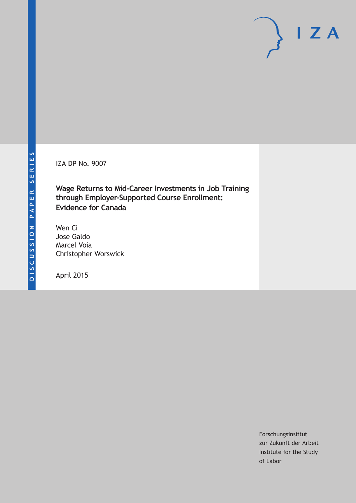IZA DP No. 9007

**Wage Returns to Mid-Career Investments in Job Training through Employer-Supported Course Enrollment: Evidence for Canada**

Wen Ci Jose Galdo Marcel Voia Christopher Worswick

April 2015

Forschungsinstitut zur Zukunft der Arbeit Institute for the Study of Labor

 $I Z A$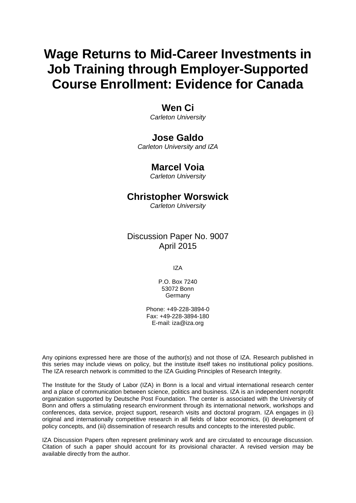# **Wage Returns to Mid-Career Investments in Job Training through Employer-Supported Course Enrollment: Evidence for Canada**

# **Wen Ci**

*Carleton University*

# **Jose Galdo**

*Carleton University and IZA*

# **Marcel Voia**

*Carleton University*

# **Christopher Worswick**

*Carleton University*

# Discussion Paper No. 9007 April 2015

IZA

P.O. Box 7240 53072 Bonn Germany

Phone: +49-228-3894-0 Fax: +49-228-3894-180 E-mail: iza@iza.org

Any opinions expressed here are those of the author(s) and not those of IZA. Research published in this series may include views on policy, but the institute itself takes no institutional policy positions. The IZA research network is committed to the IZA Guiding Principles of Research Integrity.

The Institute for the Study of Labor (IZA) in Bonn is a local and virtual international research center and a place of communication between science, politics and business. IZA is an independent nonprofit organization supported by Deutsche Post Foundation. The center is associated with the University of Bonn and offers a stimulating research environment through its international network, workshops and conferences, data service, project support, research visits and doctoral program. IZA engages in (i) original and internationally competitive research in all fields of labor economics, (ii) development of policy concepts, and (iii) dissemination of research results and concepts to the interested public.

<span id="page-1-0"></span>IZA Discussion Papers often represent preliminary work and are circulated to encourage discussion. Citation of such a paper should account for its provisional character. A revised version may be available directly from the author.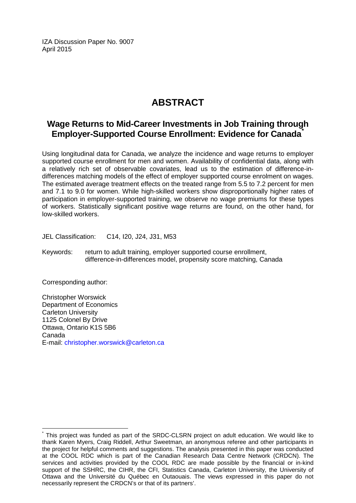IZA Discussion Paper No. 9007 April 2015

# **ABSTRACT**

# **Wage Returns to Mid-Career Investments in Job Training through Employer-Supported Course Enrollment: Evidence for Canada[\\*](#page-1-0)**

Using longitudinal data for Canada, we analyze the incidence and wage returns to employer supported course enrollment for men and women. Availability of confidential data, along with a relatively rich set of observable covariates, lead us to the estimation of difference-indifferences matching models of the effect of employer supported course enrolment on wages. The estimated average treatment effects on the treated range from 5.5 to 7.2 percent for men and 7.1 to 9.0 for women. While high-skilled workers show disproportionally higher rates of participation in employer-supported training, we observe no wage premiums for these types of workers. Statistically significant positive wage returns are found, on the other hand, for low-skilled workers.

JEL Classification: C14, I20, J24, J31, M53

Keywords: return to adult training, employer supported course enrollment, difference-in-differences model, propensity score matching, Canada

Corresponding author:

Christopher Worswick Department of Economics Carleton University 1125 Colonel By Drive Ottawa, Ontario K1S 5B6 Canada E-mail: [christopher.worswick@carleton.ca](mailto:christopher.worswick@carleton.ca)

This project was funded as part of the SRDC-CLSRN project on adult education. We would like to thank Karen Myers, Craig Riddell, Arthur Sweetman, an anonymous referee and other participants in the project for helpful comments and suggestions. The analysis presented in this paper was conducted at the COOL RDC which is part of the Canadian Research Data Centre Network (CRDCN). The services and activities provided by the COOL RDC are made possible by the financial or in-kind support of the SSHRC, the CIHR, the CFI, Statistics Canada, Carleton University, the University of Ottawa and the Université du Québec en Outaouais. The views expressed in this paper do not necessarily represent the CRDCN's or that of its partners'.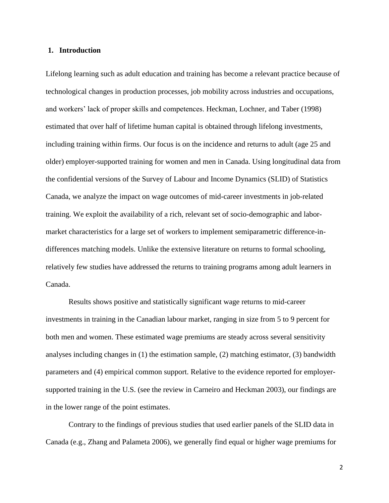#### **1. Introduction**

Lifelong learning such as adult education and training has become a relevant practice because of technological changes in production processes, job mobility across industries and occupations, and workers' lack of proper skills and competences. Heckman, Lochner, and Taber (1998) estimated that over half of lifetime human capital is obtained through lifelong investments, including training within firms. Our focus is on the incidence and returns to adult (age 25 and older) employer-supported training for women and men in Canada. Using longitudinal data from the confidential versions of the Survey of Labour and Income Dynamics (SLID) of Statistics Canada, we analyze the impact on wage outcomes of mid-career investments in job-related training. We exploit the availability of a rich, relevant set of socio-demographic and labormarket characteristics for a large set of workers to implement semiparametric difference-indifferences matching models. Unlike the extensive literature on returns to formal schooling, relatively few studies have addressed the returns to training programs among adult learners in Canada.

Results shows positive and statistically significant wage returns to mid-career investments in training in the Canadian labour market, ranging in size from 5 to 9 percent for both men and women. These estimated wage premiums are steady across several sensitivity analyses including changes in (1) the estimation sample, (2) matching estimator, (3) bandwidth parameters and (4) empirical common support. Relative to the evidence reported for employersupported training in the U.S. (see the review in Carneiro and Heckman 2003), our findings are in the lower range of the point estimates.

Contrary to the findings of previous studies that used earlier panels of the SLID data in Canada (e.g., Zhang and Palameta 2006), we generally find equal or higher wage premiums for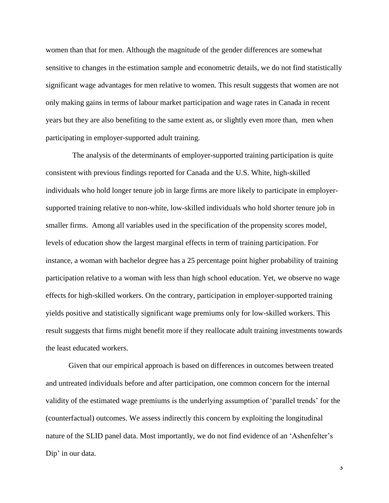women than that for men. Although the magnitude of the gender differences are somewhat sensitive to changes in the estimation sample and econometric details, we do not find statistically significant wage advantages for men relative to women. This result suggests that women are not only making gains in terms of labour market participation and wage rates in Canada in recent years but they are also benefiting to the same extent as, or slightly even more than, men when participating in employer-supported adult training.

The analysis of the determinants of employer-supported training participation is quite consistent with previous findings reported for Canada and the U.S. White, high-skilled individuals who hold longer tenure job in large firms are more likely to participate in employersupported training relative to non-white, low-skilled individuals who hold shorter tenure job in smaller firms. Among all variables used in the specification of the propensity scores model, levels of education show the largest marginal effects in term of training participation. For instance, a woman with bachelor degree has a 25 percentage point higher probability of training participation relative to a woman with less than high school education. Yet, we observe no wage effects for high-skilled workers. On the contrary, participation in employer-supported training yields positive and statistically significant wage premiums only for low-skilled workers. This result suggests that firms might benefit more if they reallocate adult training investments towards the least educated workers.

Given that our empirical approach is based on differences in outcomes between treated and untreated individuals before and after participation, one common concern for the internal validity of the estimated wage premiums is the underlying assumption of 'parallel trends' for the (counterfactual) outcomes. We assess indirectly this concern by exploiting the longitudinal nature of the SLID panel data. Most importantly, we do not find evidence of an 'Ashenfelter's Dip' in our data.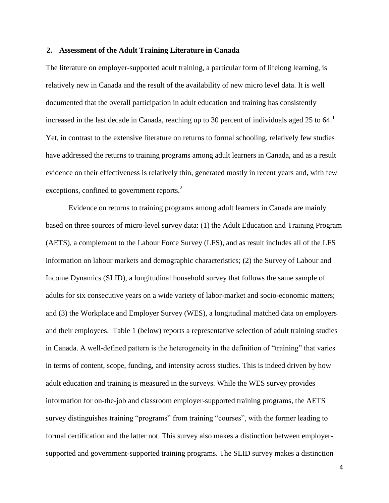#### **2. Assessment of the Adult Training Literature in Canada**

The literature on employer-supported adult training, a particular form of lifelong learning, is relatively new in Canada and the result of the availability of new micro level data. It is well documented that the overall participation in adult education and training has consistently increased in the last decade in Canada, reaching up to 30 percent of individuals aged 25 to 64.<sup>1</sup> Yet, in contrast to the extensive literature on returns to formal schooling, relatively few studies have addressed the returns to training programs among adult learners in Canada, and as a result evidence on their effectiveness is relatively thin, generated mostly in recent years and, with few exceptions, confined to government reports.<sup>2</sup>

Evidence on returns to training programs among adult learners in Canada are mainly based on three sources of micro-level survey data: (1) the Adult Education and Training Program (AETS), a complement to the Labour Force Survey (LFS), and as result includes all of the LFS information on labour markets and demographic characteristics; (2) the Survey of Labour and Income Dynamics (SLID), a longitudinal household survey that follows the same sample of adults for six consecutive years on a wide variety of labor-market and socio-economic matters; and (3) the Workplace and Employer Survey (WES), a longitudinal matched data on employers and their employees. Table 1 (below) reports a representative selection of adult training studies in Canada. A well-defined pattern is the heterogeneity in the definition of "training" that varies in terms of content, scope, funding, and intensity across studies. This is indeed driven by how adult education and training is measured in the surveys. While the WES survey provides information for on-the-job and classroom employer-supported training programs, the AETS survey distinguishes training "programs" from training "courses", with the former leading to formal certification and the latter not. This survey also makes a distinction between employersupported and government-supported training programs. The SLID survey makes a distinction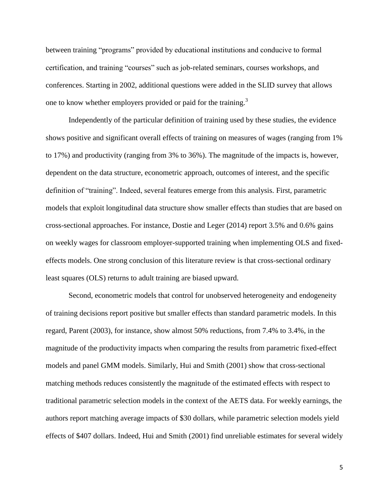between training "programs" provided by educational institutions and conducive to formal certification, and training "courses" such as job-related seminars, courses workshops, and conferences. Starting in 2002, additional questions were added in the SLID survey that allows one to know whether employers provided or paid for the training.<sup>3</sup>

Independently of the particular definition of training used by these studies, the evidence shows positive and significant overall effects of training on measures of wages (ranging from 1% to 17%) and productivity (ranging from 3% to 36%). The magnitude of the impacts is, however, dependent on the data structure, econometric approach, outcomes of interest, and the specific definition of "training". Indeed, several features emerge from this analysis. First, parametric models that exploit longitudinal data structure show smaller effects than studies that are based on cross-sectional approaches. For instance, Dostie and Leger (2014) report 3.5% and 0.6% gains on weekly wages for classroom employer-supported training when implementing OLS and fixedeffects models. One strong conclusion of this literature review is that cross-sectional ordinary least squares (OLS) returns to adult training are biased upward.

Second, econometric models that control for unobserved heterogeneity and endogeneity of training decisions report positive but smaller effects than standard parametric models. In this regard, Parent (2003), for instance, show almost 50% reductions, from 7.4% to 3.4%, in the magnitude of the productivity impacts when comparing the results from parametric fixed-effect models and panel GMM models. Similarly, Hui and Smith (2001) show that cross-sectional matching methods reduces consistently the magnitude of the estimated effects with respect to traditional parametric selection models in the context of the AETS data. For weekly earnings, the authors report matching average impacts of \$30 dollars, while parametric selection models yield effects of \$407 dollars. Indeed, Hui and Smith (2001) find unreliable estimates for several widely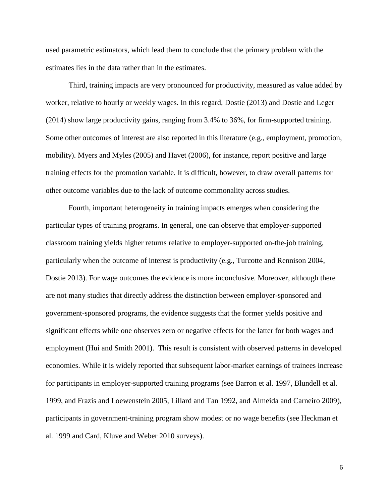used parametric estimators, which lead them to conclude that the primary problem with the estimates lies in the data rather than in the estimates.

Third, training impacts are very pronounced for productivity, measured as value added by worker, relative to hourly or weekly wages. In this regard, Dostie (2013) and Dostie and Leger (2014) show large productivity gains, ranging from 3.4% to 36%, for firm-supported training. Some other outcomes of interest are also reported in this literature (e.g., employment, promotion, mobility). Myers and Myles (2005) and Havet (2006), for instance, report positive and large training effects for the promotion variable. It is difficult, however, to draw overall patterns for other outcome variables due to the lack of outcome commonality across studies.

Fourth, important heterogeneity in training impacts emerges when considering the particular types of training programs. In general, one can observe that employer-supported classroom training yields higher returns relative to employer-supported on-the-job training, particularly when the outcome of interest is productivity (e.g., Turcotte and Rennison 2004, Dostie 2013). For wage outcomes the evidence is more inconclusive. Moreover, although there are not many studies that directly address the distinction between employer-sponsored and government-sponsored programs, the evidence suggests that the former yields positive and significant effects while one observes zero or negative effects for the latter for both wages and employment (Hui and Smith 2001). This result is consistent with observed patterns in developed economies. While it is widely reported that subsequent labor-market earnings of trainees increase for participants in employer-supported training programs (see Barron et al. 1997, Blundell et al. 1999, and Frazis and Loewenstein 2005, Lillard and Tan 1992, and Almeida and Carneiro 2009), participants in government-training program show modest or no wage benefits (see Heckman et al. 1999 and Card, Kluve and Weber 2010 surveys).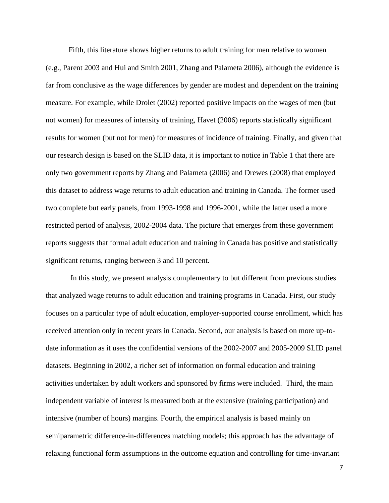Fifth, this literature shows higher returns to adult training for men relative to women (e.g., Parent 2003 and Hui and Smith 2001, Zhang and Palameta 2006), although the evidence is far from conclusive as the wage differences by gender are modest and dependent on the training measure. For example, while Drolet (2002) reported positive impacts on the wages of men (but not women) for measures of intensity of training, Havet (2006) reports statistically significant results for women (but not for men) for measures of incidence of training. Finally, and given that our research design is based on the SLID data, it is important to notice in Table 1 that there are only two government reports by Zhang and Palameta (2006) and Drewes (2008) that employed this dataset to address wage returns to adult education and training in Canada. The former used two complete but early panels, from 1993-1998 and 1996-2001, while the latter used a more restricted period of analysis, 2002-2004 data. The picture that emerges from these government reports suggests that formal adult education and training in Canada has positive and statistically significant returns, ranging between 3 and 10 percent.

In this study, we present analysis complementary to but different from previous studies that analyzed wage returns to adult education and training programs in Canada. First, our study focuses on a particular type of adult education, employer-supported course enrollment, which has received attention only in recent years in Canada. Second, our analysis is based on more up-todate information as it uses the confidential versions of the 2002-2007 and 2005-2009 SLID panel datasets. Beginning in 2002, a richer set of information on formal education and training activities undertaken by adult workers and sponsored by firms were included. Third, the main independent variable of interest is measured both at the extensive (training participation) and intensive (number of hours) margins. Fourth, the empirical analysis is based mainly on semiparametric difference-in-differences matching models; this approach has the advantage of relaxing functional form assumptions in the outcome equation and controlling for time-invariant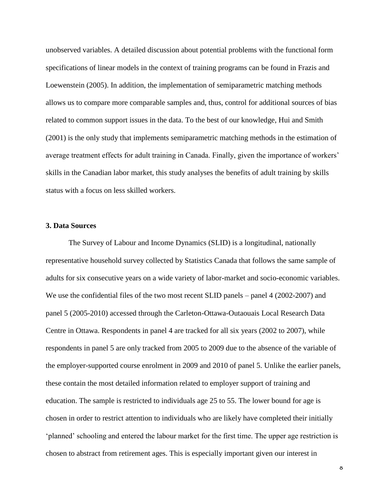unobserved variables. A detailed discussion about potential problems with the functional form specifications of linear models in the context of training programs can be found in Frazis and Loewenstein (2005). In addition, the implementation of semiparametric matching methods allows us to compare more comparable samples and, thus, control for additional sources of bias related to common support issues in the data. To the best of our knowledge, Hui and Smith (2001) is the only study that implements semiparametric matching methods in the estimation of average treatment effects for adult training in Canada. Finally, given the importance of workers' skills in the Canadian labor market, this study analyses the benefits of adult training by skills status with a focus on less skilled workers.

#### **3. Data Sources**

The Survey of Labour and Income Dynamics (SLID) is a longitudinal, nationally representative household survey collected by Statistics Canada that follows the same sample of adults for six consecutive years on a wide variety of labor-market and socio-economic variables. We use the confidential files of the two most recent SLID panels – panel 4 (2002-2007) and panel 5 (2005-2010) accessed through the Carleton-Ottawa-Outaouais Local Research Data Centre in Ottawa. Respondents in panel 4 are tracked for all six years (2002 to 2007), while respondents in panel 5 are only tracked from 2005 to 2009 due to the absence of the variable of the employer-supported course enrolment in 2009 and 2010 of panel 5. Unlike the earlier panels, these contain the most detailed information related to employer support of training and education. The sample is restricted to individuals age 25 to 55. The lower bound for age is chosen in order to restrict attention to individuals who are likely have completed their initially 'planned' schooling and entered the labour market for the first time. The upper age restriction is chosen to abstract from retirement ages. This is especially important given our interest in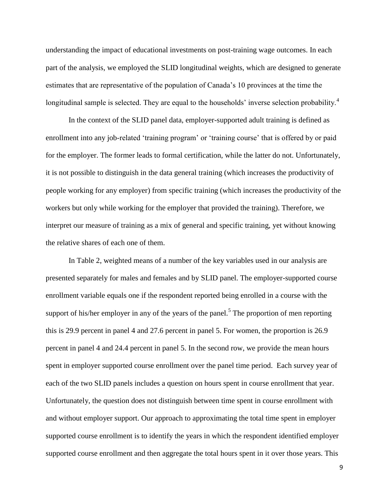understanding the impact of educational investments on post-training wage outcomes. In each part of the analysis, we employed the SLID longitudinal weights, which are designed to generate estimates that are representative of the population of Canada's 10 provinces at the time the longitudinal sample is selected. They are equal to the households' inverse selection probability.<sup>4</sup>

In the context of the SLID panel data, employer-supported adult training is defined as enrollment into any job-related 'training program' or 'training course' that is offered by or paid for the employer. The former leads to formal certification, while the latter do not. Unfortunately, it is not possible to distinguish in the data general training (which increases the productivity of people working for any employer) from specific training (which increases the productivity of the workers but only while working for the employer that provided the training). Therefore, we interpret our measure of training as a mix of general and specific training, yet without knowing the relative shares of each one of them.

In Table 2, weighted means of a number of the key variables used in our analysis are presented separately for males and females and by SLID panel. The employer-supported course enrollment variable equals one if the respondent reported being enrolled in a course with the support of his/her employer in any of the years of the panel.<sup>5</sup> The proportion of men reporting this is 29.9 percent in panel 4 and 27.6 percent in panel 5. For women, the proportion is 26.9 percent in panel 4 and 24.4 percent in panel 5. In the second row, we provide the mean hours spent in employer supported course enrollment over the panel time period. Each survey year of each of the two SLID panels includes a question on hours spent in course enrollment that year. Unfortunately, the question does not distinguish between time spent in course enrollment with and without employer support. Our approach to approximating the total time spent in employer supported course enrollment is to identify the years in which the respondent identified employer supported course enrollment and then aggregate the total hours spent in it over those years. This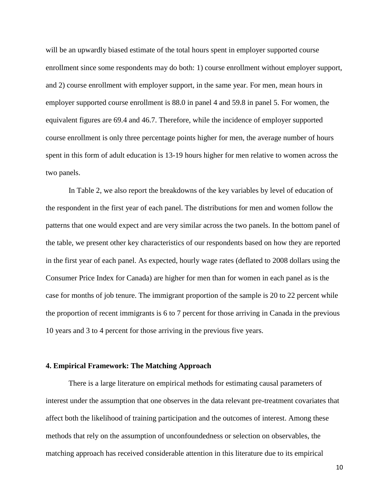will be an upwardly biased estimate of the total hours spent in employer supported course enrollment since some respondents may do both: 1) course enrollment without employer support, and 2) course enrollment with employer support, in the same year. For men, mean hours in employer supported course enrollment is 88.0 in panel 4 and 59.8 in panel 5. For women, the equivalent figures are 69.4 and 46.7. Therefore, while the incidence of employer supported course enrollment is only three percentage points higher for men, the average number of hours spent in this form of adult education is 13-19 hours higher for men relative to women across the two panels.

In Table 2, we also report the breakdowns of the key variables by level of education of the respondent in the first year of each panel. The distributions for men and women follow the patterns that one would expect and are very similar across the two panels. In the bottom panel of the table, we present other key characteristics of our respondents based on how they are reported in the first year of each panel. As expected, hourly wage rates (deflated to 2008 dollars using the Consumer Price Index for Canada) are higher for men than for women in each panel as is the case for months of job tenure. The immigrant proportion of the sample is 20 to 22 percent while the proportion of recent immigrants is 6 to 7 percent for those arriving in Canada in the previous 10 years and 3 to 4 percent for those arriving in the previous five years.

#### **4. Empirical Framework: The Matching Approach**

There is a large literature on empirical methods for estimating causal parameters of interest under the assumption that one observes in the data relevant pre-treatment covariates that affect both the likelihood of training participation and the outcomes of interest. Among these methods that rely on the assumption of unconfoundedness or selection on observables, the matching approach has received considerable attention in this literature due to its empirical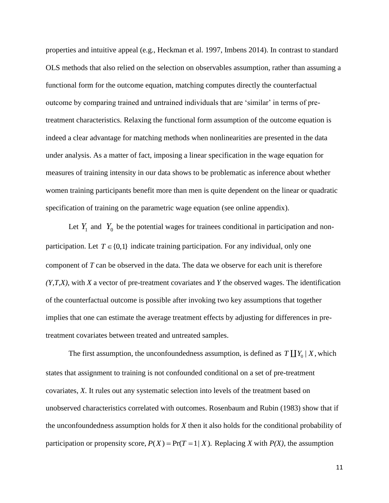properties and intuitive appeal (e.g., Heckman et al. 1997, Imbens 2014). In contrast to standard OLS methods that also relied on the selection on observables assumption, rather than assuming a functional form for the outcome equation, matching computes directly the counterfactual outcome by comparing trained and untrained individuals that are 'similar' in terms of pretreatment characteristics. Relaxing the functional form assumption of the outcome equation is indeed a clear advantage for matching methods when nonlinearities are presented in the data under analysis. As a matter of fact, imposing a linear specification in the wage equation for measures of training intensity in our data shows to be problematic as inference about whether women training participants benefit more than men is quite dependent on the linear or quadratic specification of training on the parametric wage equation (see online appendix).

Let  $Y_1$  and  $Y_0$  be the potential wages for trainees conditional in participation and nonparticipation. Let  $T \in \{0,1\}$  indicate training participation. For any individual, only one component of *T* can be observed in the data. The data we observe for each unit is therefore *(Y,T,X)*, with *X* a vector of pre-treatment covariates and *Y* the observed wages. The identification of the counterfactual outcome is possible after invoking two key assumptions that together implies that one can estimate the average treatment effects by adjusting for differences in pretreatment covariates between treated and untreated samples.

The first assumption, the unconfoundedness assumption, is defined as  $T \coprod Y_0 | X$ , which states that assignment to training is not confounded conditional on a set of pre-treatment covariates, *X*. It rules out any systematic selection into levels of the treatment based on unobserved characteristics correlated with outcomes. Rosenbaum and Rubin (1983) show that if the unconfoundedness assumption holds for *X* then it also holds for the conditional probability of participation or propensity score,  $P(X) = Pr(T = 1 | X)$ . Replacing *X* with  $P(X)$ , the assumption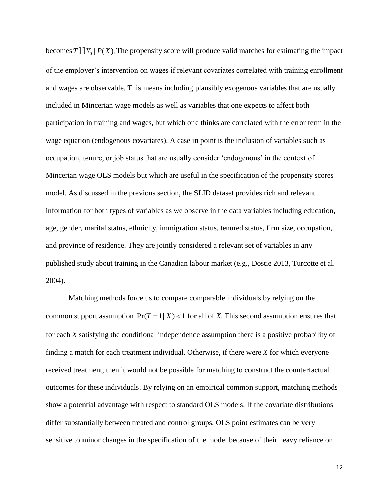becomes  $T \coprod Y_0 | P(X)$ . The propensity score will produce valid matches for estimating the impact of the employer's intervention on wages if relevant covariates correlated with training enrollment and wages are observable. This means including plausibly exogenous variables that are usually included in Mincerian wage models as well as variables that one expects to affect both participation in training and wages, but which one thinks are correlated with the error term in the wage equation (endogenous covariates). A case in point is the inclusion of variables such as occupation, tenure, or job status that are usually consider 'endogenous' in the context of Mincerian wage OLS models but which are useful in the specification of the propensity scores model. As discussed in the previous section, the SLID dataset provides rich and relevant information for both types of variables as we observe in the data variables including education, age, gender, marital status, ethnicity, immigration status, tenured status, firm size, occupation, and province of residence. They are jointly considered a relevant set of variables in any published study about training in the Canadian labour market (e.g., Dostie 2013, Turcotte et al. 2004).

Matching methods force us to compare comparable individuals by relying on the common support assumption  $Pr(T = 1 | X) < 1$  for all of *X*. This second assumption ensures that for each *X* satisfying the conditional independence assumption there is a positive probability of finding a match for each treatment individual. Otherwise, if there were *X* for which everyone received treatment, then it would not be possible for matching to construct the counterfactual outcomes for these individuals. By relying on an empirical common support, matching methods show a potential advantage with respect to standard OLS models. If the covariate distributions differ substantially between treated and control groups, OLS point estimates can be very sensitive to minor changes in the specification of the model because of their heavy reliance on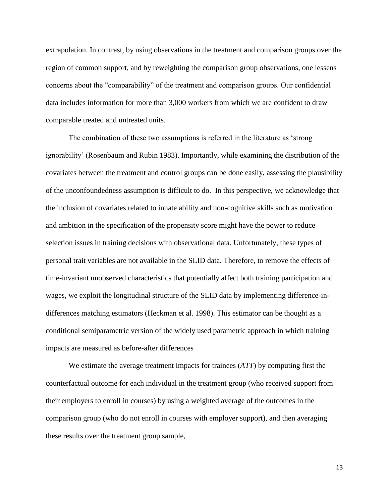extrapolation. In contrast, by using observations in the treatment and comparison groups over the region of common support, and by reweighting the comparison group observations, one lessens concerns about the "comparability" of the treatment and comparison groups. Our confidential data includes information for more than 3,000 workers from which we are confident to draw comparable treated and untreated units.

The combination of these two assumptions is referred in the literature as 'strong ignorability' (Rosenbaum and Rubin 1983). Importantly, while examining the distribution of the covariates between the treatment and control groups can be done easily, assessing the plausibility of the unconfoundedness assumption is difficult to do. In this perspective, we acknowledge that the inclusion of covariates related to innate ability and non-cognitive skills such as motivation and ambition in the specification of the propensity score might have the power to reduce selection issues in training decisions with observational data. Unfortunately, these types of personal trait variables are not available in the SLID data. Therefore, to remove the effects of time-invariant unobserved characteristics that potentially affect both training participation and wages, we exploit the longitudinal structure of the SLID data by implementing difference-indifferences matching estimators (Heckman et al. 1998). This estimator can be thought as a conditional semiparametric version of the widely used parametric approach in which training impacts are measured as before-after differences

We estimate the average treatment impacts for trainees (*ATT*) by computing first the counterfactual outcome for each individual in the treatment group (who received support from their employers to enroll in courses) by using a weighted average of the outcomes in the comparison group (who do not enroll in courses with employer support), and then averaging these results over the treatment group sample,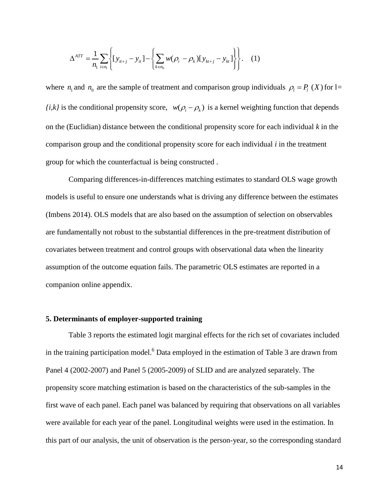$$
\Delta^{ATT} = \frac{1}{n_1} \sum_{i \in n_1} \left\{ [y_{it+j} - y_{it}] - \left\{ \sum_{k \in n_0} w(\rho_i - \rho_k) [y_{kt+j} - y_{kt}] \right\} \right\}.
$$
 (1)

where  $n_1$  and  $n_0$  are the sample of treatment and comparison group individuals  $\rho_1 = P_1(X)$  for l=  $\{i,k\}$  is the conditional propensity score,  $w(\rho_i - \rho_k)$  is a kernel weighting function that depends on the (Euclidian) distance between the conditional propensity score for each individual *k* in the comparison group and the conditional propensity score for each individual *i* in the treatment group for which the counterfactual is being constructed .

Comparing differences-in-differences matching estimates to standard OLS wage growth models is useful to ensure one understands what is driving any difference between the estimates (Imbens 2014). OLS models that are also based on the assumption of selection on observables are fundamentally not robust to the substantial differences in the pre-treatment distribution of covariates between treatment and control groups with observational data when the linearity assumption of the outcome equation fails. The parametric OLS estimates are reported in a companion online appendix.

#### **5. Determinants of employer-supported training**

Table 3 reports the estimated logit marginal effects for the rich set of covariates included in the training participation model.<sup>6</sup> Data employed in the estimation of Table 3 are drawn from Panel 4 (2002-2007) and Panel 5 (2005-2009) of SLID and are analyzed separately. The propensity score matching estimation is based on the characteristics of the sub-samples in the first wave of each panel. Each panel was balanced by requiring that observations on all variables were available for each year of the panel. Longitudinal weights were used in the estimation. In this part of our analysis, the unit of observation is the person-year, so the corresponding standard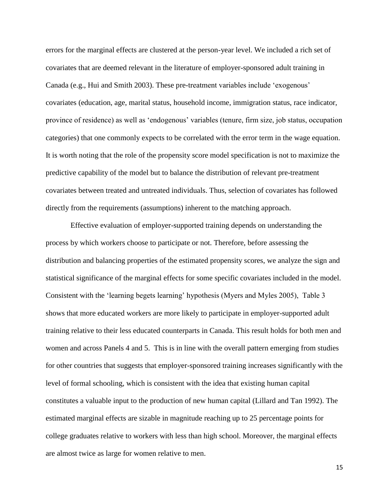errors for the marginal effects are clustered at the person-year level. We included a rich set of covariates that are deemed relevant in the literature of employer-sponsored adult training in Canada (e.g., Hui and Smith 2003). These pre-treatment variables include 'exogenous' covariates (education, age, marital status, household income, immigration status, race indicator, province of residence) as well as 'endogenous' variables (tenure, firm size, job status, occupation categories) that one commonly expects to be correlated with the error term in the wage equation. It is worth noting that the role of the propensity score model specification is not to maximize the predictive capability of the model but to balance the distribution of relevant pre-treatment covariates between treated and untreated individuals. Thus, selection of covariates has followed directly from the requirements (assumptions) inherent to the matching approach.

Effective evaluation of employer-supported training depends on understanding the process by which workers choose to participate or not. Therefore, before assessing the distribution and balancing properties of the estimated propensity scores, we analyze the sign and statistical significance of the marginal effects for some specific covariates included in the model. Consistent with the 'learning begets learning' hypothesis (Myers and Myles 2005), Table 3 shows that more educated workers are more likely to participate in employer-supported adult training relative to their less educated counterparts in Canada. This result holds for both men and women and across Panels 4 and 5. This is in line with the overall pattern emerging from studies for other countries that suggests that employer-sponsored training increases significantly with the level of formal schooling, which is consistent with the idea that existing human capital constitutes a valuable input to the production of new human capital (Lillard and Tan 1992). The estimated marginal effects are sizable in magnitude reaching up to 25 percentage points for college graduates relative to workers with less than high school. Moreover, the marginal effects are almost twice as large for women relative to men.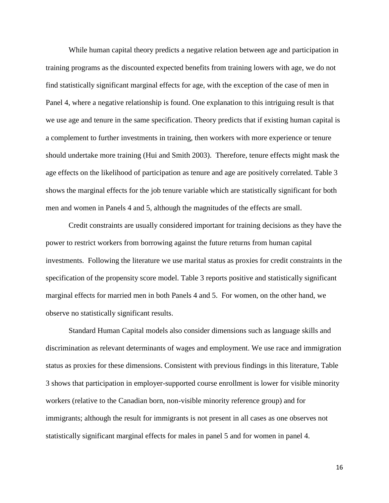While human capital theory predicts a negative relation between age and participation in training programs as the discounted expected benefits from training lowers with age, we do not find statistically significant marginal effects for age, with the exception of the case of men in Panel 4, where a negative relationship is found. One explanation to this intriguing result is that we use age and tenure in the same specification. Theory predicts that if existing human capital is a complement to further investments in training, then workers with more experience or tenure should undertake more training (Hui and Smith 2003). Therefore, tenure effects might mask the age effects on the likelihood of participation as tenure and age are positively correlated. Table 3 shows the marginal effects for the job tenure variable which are statistically significant for both men and women in Panels 4 and 5, although the magnitudes of the effects are small.

Credit constraints are usually considered important for training decisions as they have the power to restrict workers from borrowing against the future returns from human capital investments. Following the literature we use marital status as proxies for credit constraints in the specification of the propensity score model. Table 3 reports positive and statistically significant marginal effects for married men in both Panels 4 and 5. For women, on the other hand, we observe no statistically significant results.

Standard Human Capital models also consider dimensions such as language skills and discrimination as relevant determinants of wages and employment. We use race and immigration status as proxies for these dimensions. Consistent with previous findings in this literature, Table 3 shows that participation in employer-supported course enrollment is lower for visible minority workers (relative to the Canadian born, non-visible minority reference group) and for immigrants; although the result for immigrants is not present in all cases as one observes not statistically significant marginal effects for males in panel 5 and for women in panel 4.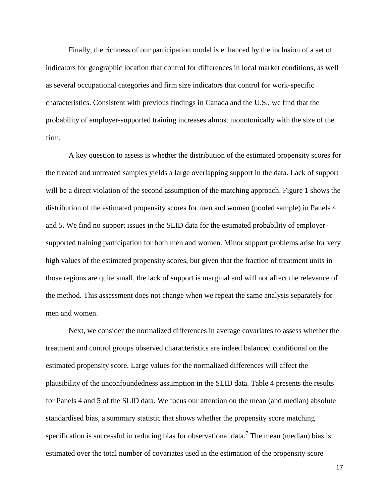Finally, the richness of our participation model is enhanced by the inclusion of a set of indicators for geographic location that control for differences in local market conditions, as well as several occupational categories and firm size indicators that control for work-specific characteristics. Consistent with previous findings in Canada and the U.S., we find that the probability of employer-supported training increases almost monotonically with the size of the firm.

A key question to assess is whether the distribution of the estimated propensity scores for the treated and untreated samples yields a large overlapping support in the data. Lack of support will be a direct violation of the second assumption of the matching approach. Figure 1 shows the distribution of the estimated propensity scores for men and women (pooled sample) in Panels 4 and 5. We find no support issues in the SLID data for the estimated probability of employersupported training participation for both men and women. Minor support problems arise for very high values of the estimated propensity scores, but given that the fraction of treatment units in those regions are quite small, the lack of support is marginal and will not affect the relevance of the method. This assessment does not change when we repeat the same analysis separately for men and women.

Next, we consider the normalized differences in average covariates to assess whether the treatment and control groups observed characteristics are indeed balanced conditional on the estimated propensity score. Large values for the normalized differences will affect the plausibility of the unconfoundedness assumption in the SLID data. Table 4 presents the results for Panels 4 and 5 of the SLID data. We focus our attention on the mean (and median) absolute standardised bias, a summary statistic that shows whether the propensity score matching specification is successful in reducing bias for observational data.<sup>7</sup> The mean (median) bias is estimated over the total number of covariates used in the estimation of the propensity score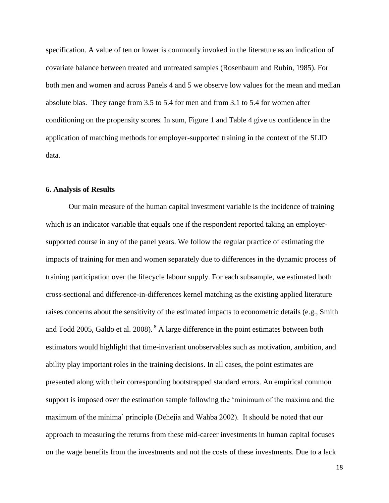specification. A value of ten or lower is commonly invoked in the literature as an indication of covariate balance between treated and untreated samples (Rosenbaum and Rubin, 1985). For both men and women and across Panels 4 and 5 we observe low values for the mean and median absolute bias. They range from 3.5 to 5.4 for men and from 3.1 to 5.4 for women after conditioning on the propensity scores. In sum, Figure 1 and Table 4 give us confidence in the application of matching methods for employer-supported training in the context of the SLID data.

#### **6. Analysis of Results**

Our main measure of the human capital investment variable is the incidence of training which is an indicator variable that equals one if the respondent reported taking an employersupported course in any of the panel years. We follow the regular practice of estimating the impacts of training for men and women separately due to differences in the dynamic process of training participation over the lifecycle labour supply. For each subsample, we estimated both cross-sectional and difference-in-differences kernel matching as the existing applied literature raises concerns about the sensitivity of the estimated impacts to econometric details (e.g., Smith and Todd 2005, Galdo et al. 2008). <sup>8</sup> A large difference in the point estimates between both estimators would highlight that time-invariant unobservables such as motivation, ambition, and ability play important roles in the training decisions. In all cases, the point estimates are presented along with their corresponding bootstrapped standard errors. An empirical common support is imposed over the estimation sample following the 'minimum of the maxima and the maximum of the minima' principle (Dehejia and Wahba 2002). It should be noted that our approach to measuring the returns from these mid-career investments in human capital focuses on the wage benefits from the investments and not the costs of these investments. Due to a lack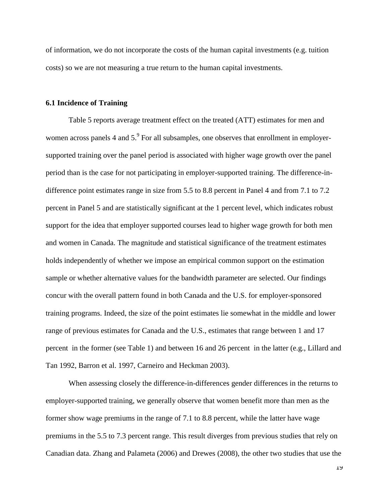of information, we do not incorporate the costs of the human capital investments (e.g. tuition costs) so we are not measuring a true return to the human capital investments.

#### **6.1 Incidence of Training**

Table 5 reports average treatment effect on the treated (ATT) estimates for men and women across panels 4 and  $5.9^{\circ}$  For all subsamples, one observes that enrollment in employersupported training over the panel period is associated with higher wage growth over the panel period than is the case for not participating in employer-supported training. The difference-indifference point estimates range in size from 5.5 to 8.8 percent in Panel 4 and from 7.1 to 7.2 percent in Panel 5 and are statistically significant at the 1 percent level, which indicates robust support for the idea that employer supported courses lead to higher wage growth for both men and women in Canada. The magnitude and statistical significance of the treatment estimates holds independently of whether we impose an empirical common support on the estimation sample or whether alternative values for the bandwidth parameter are selected. Our findings concur with the overall pattern found in both Canada and the U.S. for employer-sponsored training programs. Indeed, the size of the point estimates lie somewhat in the middle and lower range of previous estimates for Canada and the U.S., estimates that range between 1 and 17 percent in the former (see Table 1) and between 16 and 26 percent in the latter (e.g., Lillard and Tan 1992, Barron et al. 1997, Carneiro and Heckman 2003).

When assessing closely the difference-in-differences gender differences in the returns to employer-supported training, we generally observe that women benefit more than men as the former show wage premiums in the range of 7.1 to 8.8 percent, while the latter have wage premiums in the 5.5 to 7.3 percent range. This result diverges from previous studies that rely on Canadian data. Zhang and Palameta (2006) and Drewes (2008), the other two studies that use the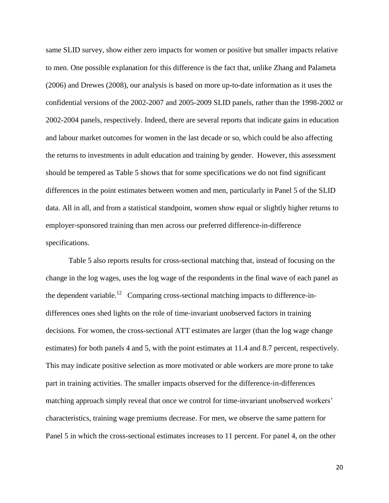same SLID survey, show either zero impacts for women or positive but smaller impacts relative to men. One possible explanation for this difference is the fact that, unlike Zhang and Palameta (2006) and Drewes (2008), our analysis is based on more up-to-date information as it uses the confidential versions of the 2002-2007 and 2005-2009 SLID panels, rather than the 1998-2002 or 2002-2004 panels, respectively. Indeed, there are several reports that indicate gains in education and labour market outcomes for women in the last decade or so, which could be also affecting the returns to investments in adult education and training by gender. However, this assessment should be tempered as Table 5 shows that for some specifications we do not find significant differences in the point estimates between women and men, particularly in Panel 5 of the SLID data. All in all, and from a statistical standpoint, women show equal or slightly higher returns to employer-sponsored training than men across our preferred difference-in-difference specifications.

Table 5 also reports results for cross-sectional matching that, instead of focusing on the change in the log wages, uses the log wage of the respondents in the final wave of each panel as the dependent variable.<sup>12</sup> Comparing cross-sectional matching impacts to difference-indifferences ones shed lights on the role of time-invariant unobserved factors in training decisions. For women, the cross-sectional ATT estimates are larger (than the log wage change estimates) for both panels 4 and 5, with the point estimates at 11.4 and 8.7 percent, respectively. This may indicate positive selection as more motivated or able workers are more prone to take part in training activities. The smaller impacts observed for the difference-in-differences matching approach simply reveal that once we control for time-invariant unobserved workers' characteristics, training wage premiums decrease. For men, we observe the same pattern for Panel 5 in which the cross-sectional estimates increases to 11 percent. For panel 4, on the other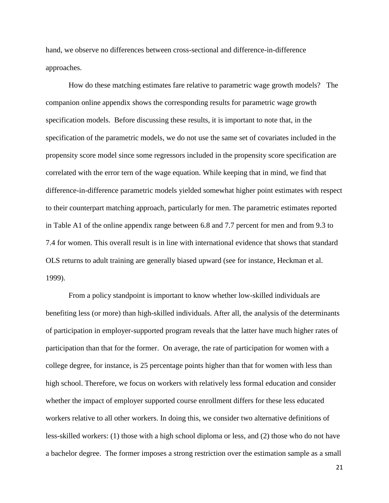hand, we observe no differences between cross-sectional and difference-in-difference approaches.

How do these matching estimates fare relative to parametric wage growth models? The companion online appendix shows the corresponding results for parametric wage growth specification models. Before discussing these results, it is important to note that, in the specification of the parametric models, we do not use the same set of covariates included in the propensity score model since some regressors included in the propensity score specification are correlated with the error tern of the wage equation. While keeping that in mind, we find that difference-in-difference parametric models yielded somewhat higher point estimates with respect to their counterpart matching approach, particularly for men. The parametric estimates reported in Table A1 of the online appendix range between 6.8 and 7.7 percent for men and from 9.3 to 7.4 for women. This overall result is in line with international evidence that shows that standard OLS returns to adult training are generally biased upward (see for instance, Heckman et al. 1999).

From a policy standpoint is important to know whether low-skilled individuals are benefiting less (or more) than high-skilled individuals. After all, the analysis of the determinants of participation in employer-supported program reveals that the latter have much higher rates of participation than that for the former. On average, the rate of participation for women with a college degree, for instance, is 25 percentage points higher than that for women with less than high school. Therefore, we focus on workers with relatively less formal education and consider whether the impact of employer supported course enrollment differs for these less educated workers relative to all other workers. In doing this, we consider two alternative definitions of less-skilled workers: (1) those with a high school diploma or less, and (2) those who do not have a bachelor degree. The former imposes a strong restriction over the estimation sample as a small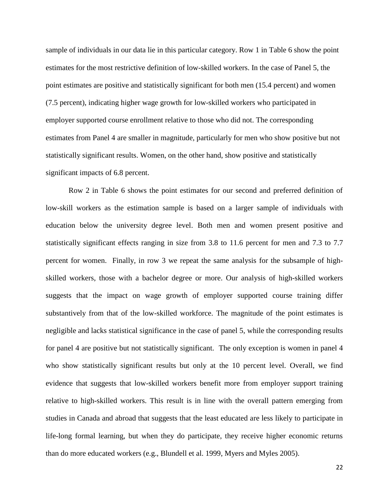sample of individuals in our data lie in this particular category. Row 1 in Table 6 show the point estimates for the most restrictive definition of low-skilled workers. In the case of Panel 5, the point estimates are positive and statistically significant for both men (15.4 percent) and women (7.5 percent), indicating higher wage growth for low-skilled workers who participated in employer supported course enrollment relative to those who did not. The corresponding estimates from Panel 4 are smaller in magnitude, particularly for men who show positive but not statistically significant results. Women, on the other hand, show positive and statistically significant impacts of 6.8 percent.

Row 2 in Table 6 shows the point estimates for our second and preferred definition of low-skill workers as the estimation sample is based on a larger sample of individuals with education below the university degree level. Both men and women present positive and statistically significant effects ranging in size from 3.8 to 11.6 percent for men and 7.3 to 7.7 percent for women. Finally, in row 3 we repeat the same analysis for the subsample of highskilled workers, those with a bachelor degree or more. Our analysis of high-skilled workers suggests that the impact on wage growth of employer supported course training differ substantively from that of the low-skilled workforce. The magnitude of the point estimates is negligible and lacks statistical significance in the case of panel 5, while the corresponding results for panel 4 are positive but not statistically significant. The only exception is women in panel 4 who show statistically significant results but only at the 10 percent level. Overall, we find evidence that suggests that low-skilled workers benefit more from employer support training relative to high-skilled workers. This result is in line with the overall pattern emerging from studies in Canada and abroad that suggests that the least educated are less likely to participate in life-long formal learning, but when they do participate, they receive higher economic returns than do more educated workers (e.g., Blundell et al. 1999, Myers and Myles 2005).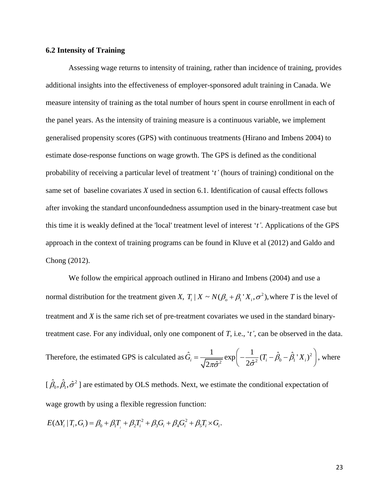#### **6.2 Intensity of Training**

Assessing wage returns to intensity of training, rather than incidence of training, provides additional insights into the effectiveness of employer-sponsored adult training in Canada. We measure intensity of training as the total number of hours spent in course enrollment in each of the panel years. As the intensity of training measure is a continuous variable, we implement generalised propensity scores (GPS) with continuous treatments (Hirano and Imbens 2004) to estimate dose-response functions on wage growth. The GPS is defined as the conditional probability of receiving a particular level of treatment '*t'* (hours of training) conditional on the same set of baseline covariates *X* used in section 6.1. Identification of causal effects follows after invoking the standard unconfoundedness assumption used in the binary-treatment case but this time it is weakly defined at the 'local' treatment level of interest '*t'*. Applications of the GPS approach in the context of training programs can be found in Kluve et al (2012) and Galdo and Chong (2012).

We follow the empirical approach outlined in Hirano and Imbens (2004) and use a normal distribution for the treatment given *X*,  $T_i | X \sim N(\beta_0 + \beta_1 | X_i, \sigma^2)$  $T_i | X \sim N(\beta_o + \beta_1 | X_i, \sigma^2)$ , where *T* is the level of treatment and *X* is the same rich set of pre-treatment covariates we used in the standard binarytreatment case. For any individual, only one component of *T,* i.e., '*t'*, can be observed in the data. Therefore, the estimated GPS is calculated as  $\hat{G}_i = \frac{1}{\sqrt{2\pi\hat{\sigma}^2}} \exp\left(-\frac{1}{2\hat{\sigma}^2}(T_i - \hat{\beta}_0 - \hat{\beta}_1 X_i)^2\right)$ = $\frac{1}{\sqrt{2\pi\hat{\sigma}^2}} \exp\left(-\frac{1}{2\hat{\sigma}^2} (T_i - \hat{\beta}_0 - \hat{\beta}_1 X_i)^2\right)$ , wher , where

 $[\,\hat{\beta_{\scriptscriptstyle 0}}, \hat{\beta_{\scriptscriptstyle 1}}, \hat{\sigma}^{\scriptscriptstyle 2}$  $\hat{\beta}_0$ ,  $\hat{\beta}_1$ ,  $\hat{\sigma}^2$  ] are estimated by OLS methods. Next, we estimate the conditional expectation of wage growth by using a flexible regression function:<br>  $E(\Delta Y_i | T_i, G_i) = \beta_0 + \beta_1 T_i + \beta_2 T_i^2 + \beta_3 G_i + \beta_4 G_i^2 + \beta_5 T_i \times G_i$ .

$$
E(\Delta Y_i | T_i, G_i) = \beta_0 + \beta_1 T_i + \beta_2 T_i^2 + \beta_3 G_i + \beta_4 G_i^2 + \beta_5 T_i \times G_i.
$$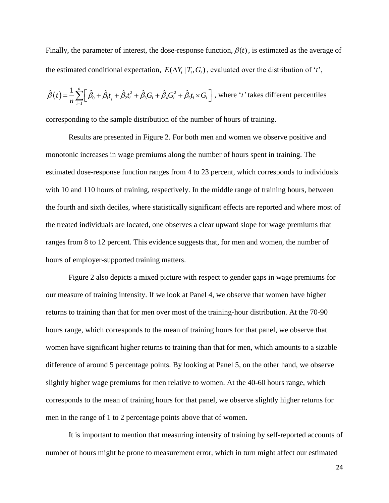Finally, the parameter of interest, the dose-response function,  $\beta(t)$ , is estimated as the average of the estimated conditional expectation,  $E(\Delta Y_i | T_i, G_i)$ , evaluated over the distribution of '*t*',

$$
\hat{\beta}(t) = \frac{1}{n} \sum_{i=1}^{n} \left[ \hat{\beta}_0 + \hat{\beta}_1 t_i + \hat{\beta}_2 t_i^2 + \hat{\beta}_3 G_i + \hat{\beta}_4 G_i^2 + \hat{\beta}_5 t_i \times G_i \right], \text{ where } 't' \text{ takes different percentiles}
$$

corresponding to the sample distribution of the number of hours of training.

Results are presented in Figure 2. For both men and women we observe positive and monotonic increases in wage premiums along the number of hours spent in training. The estimated dose-response function ranges from 4 to 23 percent, which corresponds to individuals with 10 and 110 hours of training, respectively. In the middle range of training hours, between the fourth and sixth deciles, where statistically significant effects are reported and where most of the treated individuals are located, one observes a clear upward slope for wage premiums that ranges from 8 to 12 percent. This evidence suggests that, for men and women, the number of hours of employer-supported training matters.

Figure 2 also depicts a mixed picture with respect to gender gaps in wage premiums for our measure of training intensity. If we look at Panel 4, we observe that women have higher returns to training than that for men over most of the training-hour distribution. At the 70-90 hours range, which corresponds to the mean of training hours for that panel, we observe that women have significant higher returns to training than that for men, which amounts to a sizable difference of around 5 percentage points. By looking at Panel 5, on the other hand, we observe slightly higher wage premiums for men relative to women. At the 40-60 hours range, which corresponds to the mean of training hours for that panel, we observe slightly higher returns for men in the range of 1 to 2 percentage points above that of women.

It is important to mention that measuring intensity of training by self-reported accounts of number of hours might be prone to measurement error, which in turn might affect our estimated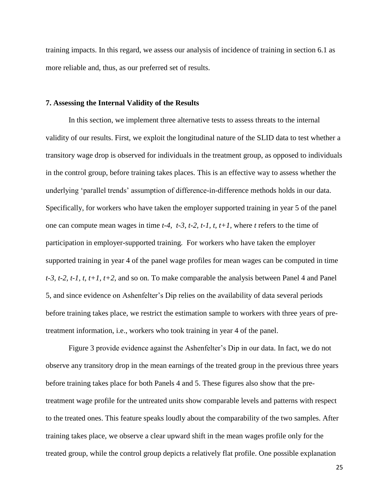training impacts. In this regard, we assess our analysis of incidence of training in section 6.1 as more reliable and, thus, as our preferred set of results.

#### **7. Assessing the Internal Validity of the Results**

In this section, we implement three alternative tests to assess threats to the internal validity of our results. First, we exploit the longitudinal nature of the SLID data to test whether a transitory wage drop is observed for individuals in the treatment group, as opposed to individuals in the control group, before training takes places. This is an effective way to assess whether the underlying 'parallel trends' assumption of difference-in-difference methods holds in our data. Specifically, for workers who have taken the employer supported training in year 5 of the panel one can compute mean wages in time *t-4, t-3, t-2, t-1, t, t+1,* where *t* refers to the time of participation in employer-supported training*.* For workers who have taken the employer supported training in year 4 of the panel wage profiles for mean wages can be computed in time *t-3, t-2, t-1, t, t+1, t+2,* and so on*.* To make comparable the analysis between Panel 4 and Panel 5, and since evidence on Ashenfelter's Dip relies on the availability of data several periods before training takes place, we restrict the estimation sample to workers with three years of pretreatment information, i.e., workers who took training in year 4 of the panel.

Figure 3 provide evidence against the Ashenfelter's Dip in our data. In fact, we do not observe any transitory drop in the mean earnings of the treated group in the previous three years before training takes place for both Panels 4 and 5. These figures also show that the pretreatment wage profile for the untreated units show comparable levels and patterns with respect to the treated ones. This feature speaks loudly about the comparability of the two samples. After training takes place, we observe a clear upward shift in the mean wages profile only for the treated group, while the control group depicts a relatively flat profile. One possible explanation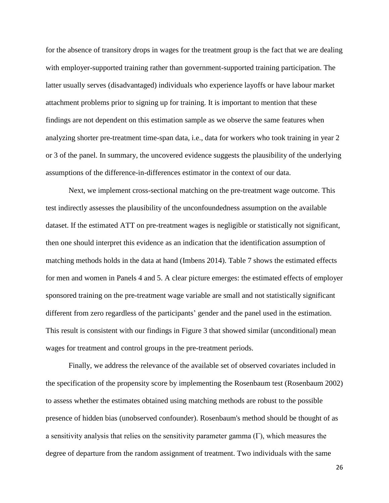for the absence of transitory drops in wages for the treatment group is the fact that we are dealing with employer-supported training rather than government-supported training participation. The latter usually serves (disadvantaged) individuals who experience layoffs or have labour market attachment problems prior to signing up for training. It is important to mention that these findings are not dependent on this estimation sample as we observe the same features when analyzing shorter pre-treatment time-span data, i.e., data for workers who took training in year 2 or 3 of the panel. In summary, the uncovered evidence suggests the plausibility of the underlying assumptions of the difference-in-differences estimator in the context of our data.

Next, we implement cross-sectional matching on the pre-treatment wage outcome. This test indirectly assesses the plausibility of the unconfoundedness assumption on the available dataset. If the estimated ATT on pre-treatment wages is negligible or statistically not significant, then one should interpret this evidence as an indication that the identification assumption of matching methods holds in the data at hand (Imbens 2014). Table 7 shows the estimated effects for men and women in Panels 4 and 5. A clear picture emerges: the estimated effects of employer sponsored training on the pre-treatment wage variable are small and not statistically significant different from zero regardless of the participants' gender and the panel used in the estimation. This result is consistent with our findings in Figure 3 that showed similar (unconditional) mean wages for treatment and control groups in the pre-treatment periods.

Finally, we address the relevance of the available set of observed covariates included in the specification of the propensity score by implementing the Rosenbaum test (Rosenbaum 2002) to assess whether the estimates obtained using matching methods are robust to the possible presence of hidden bias (unobserved confounder). Rosenbaum's method should be thought of as a sensitivity analysis that relies on the sensitivity parameter gamma  $(\Gamma)$ , which measures the degree of departure from the random assignment of treatment. Two individuals with the same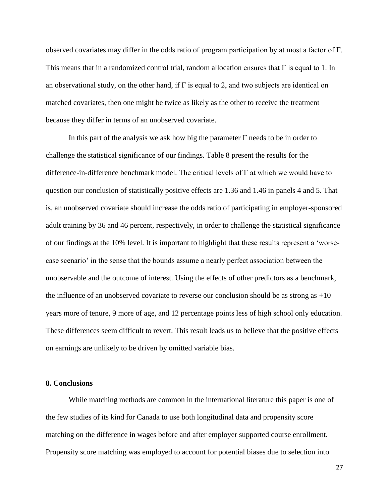observed covariates may differ in the odds ratio of program participation by at most a factor of Γ. This means that in a randomized control trial, random allocation ensures that  $\Gamma$  is equal to 1. In an observational study, on the other hand, if  $\Gamma$  is equal to 2, and two subjects are identical on matched covariates, then one might be twice as likely as the other to receive the treatment because they differ in terms of an unobserved covariate.

In this part of the analysis we ask how big the parameter  $\Gamma$  needs to be in order to challenge the statistical significance of our findings. Table 8 present the results for the difference-in-difference benchmark model. The critical levels of  $\Gamma$  at which we would have to question our conclusion of statistically positive effects are 1.36 and 1.46 in panels 4 and 5. That is, an unobserved covariate should increase the odds ratio of participating in employer-sponsored adult training by 36 and 46 percent, respectively, in order to challenge the statistical significance of our findings at the 10% level. It is important to highlight that these results represent a 'worsecase scenario' in the sense that the bounds assume a nearly perfect association between the unobservable and the outcome of interest. Using the effects of other predictors as a benchmark, the influence of an unobserved covariate to reverse our conclusion should be as strong as  $+10$ years more of tenure, 9 more of age, and 12 percentage points less of high school only education. These differences seem difficult to revert. This result leads us to believe that the positive effects on earnings are unlikely to be driven by omitted variable bias.

#### **8. Conclusions**

While matching methods are common in the international literature this paper is one of the few studies of its kind for Canada to use both longitudinal data and propensity score matching on the difference in wages before and after employer supported course enrollment. Propensity score matching was employed to account for potential biases due to selection into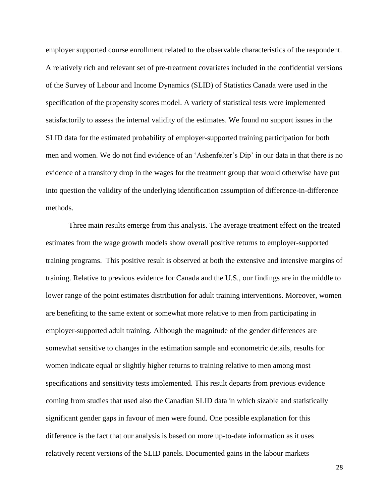employer supported course enrollment related to the observable characteristics of the respondent. A relatively rich and relevant set of pre-treatment covariates included in the confidential versions of the Survey of Labour and Income Dynamics (SLID) of Statistics Canada were used in the specification of the propensity scores model. A variety of statistical tests were implemented satisfactorily to assess the internal validity of the estimates. We found no support issues in the SLID data for the estimated probability of employer-supported training participation for both men and women. We do not find evidence of an 'Ashenfelter's Dip' in our data in that there is no evidence of a transitory drop in the wages for the treatment group that would otherwise have put into question the validity of the underlying identification assumption of difference-in-difference methods.

Three main results emerge from this analysis. The average treatment effect on the treated estimates from the wage growth models show overall positive returns to employer-supported training programs. This positive result is observed at both the extensive and intensive margins of training. Relative to previous evidence for Canada and the U.S., our findings are in the middle to lower range of the point estimates distribution for adult training interventions. Moreover, women are benefiting to the same extent or somewhat more relative to men from participating in employer-supported adult training. Although the magnitude of the gender differences are somewhat sensitive to changes in the estimation sample and econometric details, results for women indicate equal or slightly higher returns to training relative to men among most specifications and sensitivity tests implemented. This result departs from previous evidence coming from studies that used also the Canadian SLID data in which sizable and statistically significant gender gaps in favour of men were found. One possible explanation for this difference is the fact that our analysis is based on more up-to-date information as it uses relatively recent versions of the SLID panels. Documented gains in the labour markets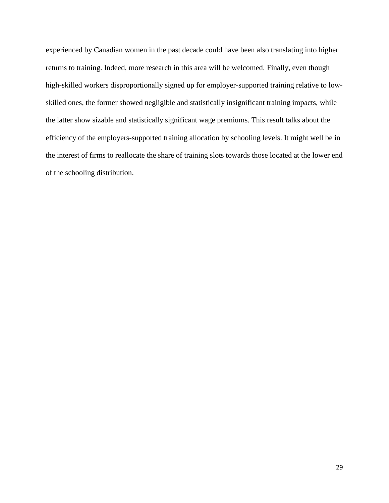experienced by Canadian women in the past decade could have been also translating into higher returns to training. Indeed, more research in this area will be welcomed. Finally, even though high-skilled workers disproportionally signed up for employer-supported training relative to lowskilled ones, the former showed negligible and statistically insignificant training impacts, while the latter show sizable and statistically significant wage premiums. This result talks about the efficiency of the employers-supported training allocation by schooling levels. It might well be in the interest of firms to reallocate the share of training slots towards those located at the lower end of the schooling distribution.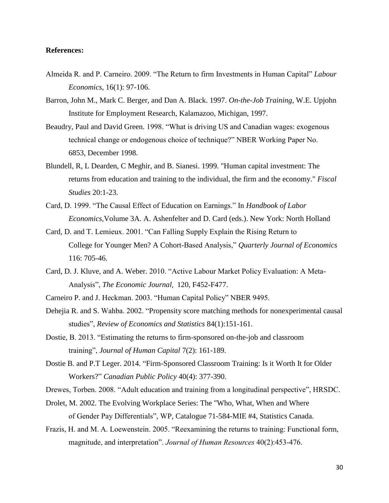#### **References:**

- Almeida R. and P. Carneiro. 2009. "The Return to firm Investments in Human Capital" *Labour Economics*, 16(1): 97-106.
- Barron, John M., Mark C. Berger, and Dan A. Black. 1997. *On-the-Job Training*, W.E. Upjohn Institute for Employment Research, Kalamazoo, Michigan, 1997.
- Beaudry, Paul and David Green. 1998. "What is driving US and Canadian wages: exogenous technical change or endogenous choice of technique?" NBER Working Paper No. 6853, December 1998.
- Blundell, R, L Dearden, C Meghir, and B. Sianesi. 1999. "Human capital investment: The returns from education and training to the individual, the firm and the economy." *Fiscal Studies* 20:1-23.
- Card, D. 1999. "The Causal Effect of Education on Earnings." In *Handbook of Labor Economics,*Volume 3A. A. Ashenfelter and D. Card (eds.). New York: North Holland
- Card, D. and T. Lemieux. 2001. "Can Falling Supply Explain the Rising Return to College for Younger Men? A Cohort-Based Analysis," *Quarterly Journal of Economics* 116: 705-46.
- Card, D. J. Kluve, and A. Weber. 2010. "Active Labour Market Policy Evaluation: A Meta-Analysis", *The Economic Journal*, 120, F452-F477.
- Carneiro P. and J. Heckman. 2003. "Human Capital Policy" NBER 9495.
- Dehejia R. and S. Wahba. 2002. "Propensity score matching methods for nonexperimental causal studies", *Review of Economics and Statistics* 84(1):151-161.
- Dostie, B. 2013. "Estimating the returns to firm-sponsored on-the-job and classroom training", *Journal of Human Capital* 7(2): 161-189.
- Dostie B. and P.T Leger. 2014. "Firm-Sponsored Classroom Training: Is it Worth It for Older Workers?" *Canadian Public Policy* 40(4): 377-390.

Drewes, Torben. 2008. "Adult education and training from a longitudinal perspective", HRSDC.

- Drolet, M. 2002. The Evolving Workplace Series: The "Who, What, When and Where of Gender Pay Differentials", WP, Catalogue 71-584-MIE #4, Statistics Canada.
- Frazis, H. and M. A. Loewenstein. 2005. "Reexamining the returns to training: Functional form, magnitude, and interpretation". *Journal of Human Resources* 40(2):453-476.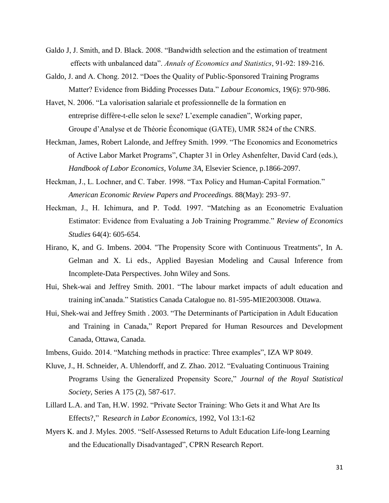- Galdo J, J. Smith, and D. Black. 2008. "Bandwidth selection and the estimation of treatment effects with unbalanced data". *Annals of Economics and Statistics*, 91-92: 189-216.
- Galdo, J. and A. Chong. 2012. "Does the Quality of Public-Sponsored Training Programs Matter? Evidence from Bidding Processes Data." *Labour Economics,* 19(6): 970-986.
- Havet, N. 2006. "La valorisation salariale et professionnelle de la formation en entreprise diffère-t-elle selon le sexe? L'exemple canadien", Working paper, Groupe d'Analyse et de Théorie Économique (GATE), UMR 5824 of the CNRS.
- Heckman, James, Robert Lalonde, and Jeffrey Smith. 1999. "The Economics and Econometrics of Active Labor Market Programs", Chapter 31 in Orley Ashenfelter, David Card (eds.), *Handbook of Labor Economics, Volume 3A*, Elsevier Science, p.1866-2097.
- Heckman, J., L. Lochner, and C. Taber. 1998. "Tax Policy and Human-Capital Formation." *American Economic Review Papers and Proceedings.* 88(May): 293–97.
- Heckman, J., H. Ichimura, and P. Todd. 1997. "Matching as an Econometric Evaluation Estimator: Evidence from Evaluating a Job Training Programme." *Review of Economics Studies* 64(4): 605-654.
- Hirano, K, and G. Imbens. 2004. "The Propensity Score with Continuous Treatments", In A. Gelman and X. Li eds., Applied Bayesian Modeling and Causal Inference from Incomplete-Data Perspectives. John Wiley and Sons.
- Hui, Shek-wai and Jeffrey Smith. 2001. "The labour market impacts of adult education and training inCanada." Statistics Canada Catalogue no. 81-595-MIE2003008. Ottawa.
- Hui, Shek-wai and Jeffrey Smith . 2003. "The Determinants of Participation in Adult Education and Training in Canada," Report Prepared for Human Resources and Development Canada, Ottawa, Canada.
- Imbens, Guido. 2014. "Matching methods in practice: Three examples", IZA WP 8049.
- Kluve, J., H. Schneider, A. Uhlendorff, and Z. Zhao. 2012. "Evaluating Continuous Training Programs Using the Generalized Propensity Score," *Journal of the Royal Statistical Society,* Series A 175 (2), 587-617.
- Lillard L.A. and Tan, H.W. 1992. "Private Sector Training: Who Gets it and What Are Its Effects?," R*esearch in Labor Economics*, 1992, Vol 13:1-62
- Myers K. and J. Myles. 2005. "Self-Assessed Returns to Adult Education Life-long Learning and the Educationally Disadvantaged", CPRN Research Report.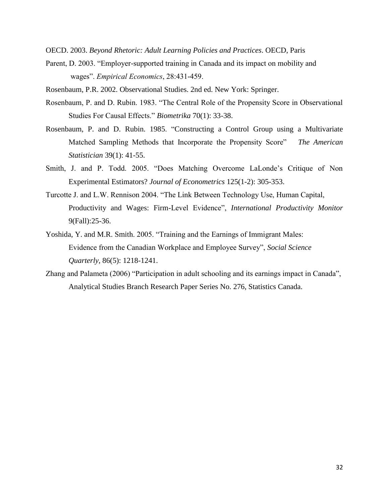OECD. 2003. *Beyond Rhetoric: Adult Learning Policies and Practices*. OECD, Paris

- Parent, D. 2003. "Employer-supported training in Canada and its impact on mobility and wages". *Empirical Economics*, 28:431-459.
- Rosenbaum, P.R. 2002. Observational Studies. 2nd ed. New York: Springer.
- Rosenbaum, P. and D. Rubin. 1983. "The Central Role of the Propensity Score in Observational Studies For Causal Effects." *Biometrika* 70(1): 33-38.
- Rosenbaum, P. and D. Rubin. 1985. "Constructing a Control Group using a Multivariate Matched Sampling Methods that Incorporate the Propensity Score" *The American Statistician* 39(1): 41-55.
- Smith, J. and P. Todd. 2005. "Does Matching Overcome LaLonde's Critique of Non Experimental Estimators? *Journal of Econometrics* 125(1-2): 305-353.
- Turcotte J. and L.W. Rennison 2004. "The Link Between Technology Use, Human Capital, Productivity and Wages: Firm-Level Evidence", *International Productivity Monitor* 9(Fall):25-36.
- Yoshida, Y. and M.R. Smith. 2005. "Training and the Earnings of Immigrant Males: Evidence from the Canadian Workplace and Employee Survey", *Social Science Quarterly,* 86(5): 1218-1241.
- Zhang and Palameta (2006) "Participation in adult schooling and its earnings impact in Canada", Analytical Studies Branch Research Paper Series No. 276, Statistics Canada.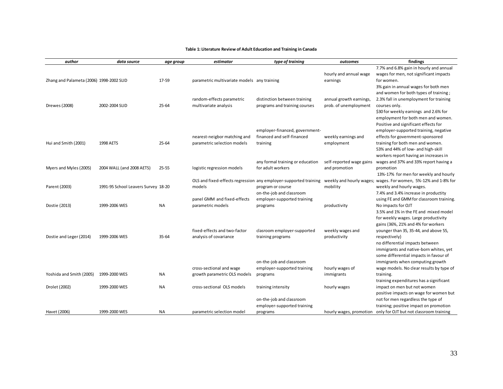#### **Table 1: Literature Review of Adult Education and Training in Canada**

| author                                   | data source                         | age group | estimator                                   | type of training                                                 | outcomes                 | findings                                                                      |
|------------------------------------------|-------------------------------------|-----------|---------------------------------------------|------------------------------------------------------------------|--------------------------|-------------------------------------------------------------------------------|
|                                          |                                     |           |                                             |                                                                  |                          | 7.7% and 6.8% gain in hourly and annual                                       |
|                                          |                                     |           |                                             |                                                                  | hourly and annual wage   | wages for men, not significant impacts                                        |
| Zhang and Palameta (2006) 1998-2002 SLID |                                     | 17-59     | parametric multivariate models any training |                                                                  | earnings                 | for women.                                                                    |
|                                          |                                     |           |                                             |                                                                  |                          | 3% gain in annual wages for both men                                          |
|                                          |                                     |           |                                             |                                                                  |                          | and women for both types of training;                                         |
|                                          |                                     |           | random-effects parametric                   | distinction between training                                     | annual growth earnings,  | 2.3% fall in unemployment for training                                        |
| Drewes (2008)                            | 2002-2004 SLID                      | $25 - 64$ | multivariate analysis                       | programs and training courses                                    | prob. of unemployment    | courses only.                                                                 |
|                                          |                                     |           |                                             |                                                                  |                          | \$30 for weekly earnings and 2.6% for                                         |
|                                          |                                     |           |                                             |                                                                  |                          | employment for both men and women.                                            |
|                                          |                                     |           |                                             | employer-financed, government-                                   |                          | Positive and significant effects for<br>employer-supported training, negative |
|                                          |                                     |           | nearest-neigbor matching and                | financed and self-financed                                       | weekly earnings and      | effects for government-sponsored                                              |
| Hui and Smith (2001)                     | 1998 AETS                           | $25 - 64$ | parametric selection models                 | training                                                         | employment               | training for both men and women.                                              |
|                                          |                                     |           |                                             |                                                                  |                          | 53% and 44% of low- and high-skill                                            |
|                                          |                                     |           |                                             |                                                                  |                          | workers report having an increases in                                         |
|                                          |                                     |           |                                             | any formal training or education                                 | self-reported wage gains | wages and 37% and 33% report having a                                         |
| Myers and Myles (2005)                   | 2004 WALL (and 2008 AETS)           | $25 - 55$ | logistic regression models                  | for adult workers                                                | and promotion            | promotion                                                                     |
|                                          |                                     |           |                                             |                                                                  |                          | 13%-17% for men for weekly and hourly                                         |
|                                          |                                     |           |                                             | OLS and fixed-effects regression any employer-supported training |                          | weekly and hourly wages; wages. For women, 5%-12% and 1-8% for                |
| Parent (2003)                            | 1991-95 School Leavers Survey 18-20 |           | models                                      | program or course                                                | mobility                 | weekly and hourly wages.                                                      |
|                                          |                                     |           |                                             | on-the-job and classroom                                         |                          | 7.4% and 3.4% increase in productity                                          |
|                                          |                                     |           | panel GMM and fixed-effects                 | employer-supported training                                      |                          | using FE and GMM for classroom training.                                      |
| Dostie (2013)                            | 1999-2006 WES                       | <b>NA</b> | parametric models                           | programs                                                         | productivity             | No impacts for OJT                                                            |
|                                          |                                     |           |                                             |                                                                  |                          | 3.5% and 1% in the FE and mixed model                                         |
|                                          |                                     |           |                                             |                                                                  |                          | for weekly wages. Large productivity                                          |
|                                          |                                     |           |                                             |                                                                  |                          | gains (36%, 21% and 4% for workers                                            |
|                                          |                                     |           | fixed-effects and two-factor                | clasroom employer-supported                                      | weekly wages and         | younger than 35, 35-44, and above 55,                                         |
| Dostie and Leger (2014)                  | 1999-2006 WES                       | $35 - 64$ | analysis of covariance                      | training programs                                                | productivity             | respectively)                                                                 |
|                                          |                                     |           |                                             |                                                                  |                          | no differential impacts between                                               |
|                                          |                                     |           |                                             |                                                                  |                          | immigrants and native-born whites, yet                                        |
|                                          |                                     |           |                                             |                                                                  |                          | some differential impacts in favour of                                        |
|                                          |                                     |           |                                             | on-the-job and classroom                                         |                          | immigrants when computing growth                                              |
|                                          |                                     |           | cross-sectional and wage                    | employer-supported training                                      | hourly wages of          | wage models. No clear results by type of                                      |
| Yoshida and Smith (2005)                 | 1999-2000 WES                       | <b>NA</b> | growth parametric OLS models                | programs                                                         | immigrants               | training.<br>training expenditures has a significant                          |
| Drolet (2002)                            | 1999-2000 WES                       | <b>NA</b> | cross-sectional OLS models                  | training intensity                                               | hourly wages             | impact on men but not women                                                   |
|                                          |                                     |           |                                             |                                                                  |                          | positive impacts on wage for women but                                        |
|                                          |                                     |           |                                             | on-the-job and classroom                                         |                          | not for men regardless the type of                                            |
|                                          |                                     |           |                                             | employer-supported training                                      |                          | training; positive impact on promotion                                        |
| Havet (2006)                             | 1999-2000 WES                       | NA        | parametric selection model                  | programs                                                         | hourly wages, promotion  | only for OJT but not classroom training                                       |
|                                          |                                     |           |                                             |                                                                  |                          |                                                                               |
|                                          |                                     |           |                                             |                                                                  |                          |                                                                               |
|                                          |                                     |           |                                             |                                                                  |                          |                                                                               |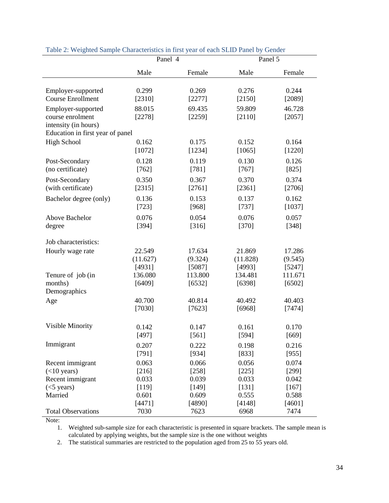|                                              | Panel 4           |                   | Panel 5           |                   |
|----------------------------------------------|-------------------|-------------------|-------------------|-------------------|
|                                              | Male              | Female            | Male              | Female            |
| Employer-supported                           | 0.299             | 0.269             | 0.276             | 0.244             |
| <b>Course Enrollment</b>                     | [2310]            | [2277]            | [2150]            | [2089]            |
| Employer-supported                           | 88.015            | 69.435            | 59.809            | 46.728            |
| course enrolment<br>intensity (in hours)     | [2278]            | [2259]            | [2110]            | [2057]            |
| Education in first year of panel             |                   |                   |                   |                   |
| <b>High School</b>                           | 0.162             | 0.175             | 0.152             | 0.164             |
|                                              | [1072]            | [1234]            | [1065]            | [1220]            |
| Post-Secondary                               | 0.128             | 0.119             | 0.130             | 0.126             |
| (no certificate)                             | [762]             | $[781]$           | $[767]$           | $[825]$           |
| Post-Secondary                               | 0.350             | 0.367             | 0.370             | 0.374             |
| (with certificate)                           | [2315]            | [2761]            | [2361]            | [2706]            |
| Bachelor degree (only)                       | 0.136             | 0.153             | 0.137             | 0.162             |
|                                              | [723]             | [968]             | $[737]$           | [1037]            |
| Above Bachelor                               | 0.076             | 0.054             | 0.076             | 0.057             |
| degree                                       | [394]             | [316]             | $[370]$           | $[348]$           |
| Job characteristics:                         |                   |                   |                   |                   |
| Hourly wage rate                             | 22.549            | 17.634            | 21.869            | 17.286            |
|                                              | (11.627)          | (9.324)           | (11.828)          | (9.545)           |
|                                              | [4931]            | [5087]            | [4993]            | [5247]            |
| Tenure of job (in<br>months)<br>Demographics | 136.080<br>[6409] | 113.800<br>[6532] | 134.481<br>[6398] | 111.671<br>[6502] |
| Age                                          | 40.700            | 40.814            | 40.492            | 40.403            |
|                                              | [7030]            | [7623]            | [6968]            | [7474]            |
| Visible Minority                             | 0.142             | 0.147             | 0.161             | 0.170             |
|                                              | [497]             | $[561]$           | [594]             | [669]             |
| Immigrant                                    | 0.207             | 0.222             | 0.198             | 0.216             |
|                                              | [791]             | [934]             | [833]             | [955]             |
| Recent immigrant                             | 0.063             | 0.066             | 0.056             | 0.074             |
| $(<$ 10 years)                               | [216]             | $[258]$           | $[225]$           | $[299]$           |
| Recent immigrant                             | 0.033             | 0.039             | 0.033             | 0.042             |
| $(<5$ years)                                 | [119]             | [149]             | [131]             | $[167]$           |
| Married                                      | 0.601             | 0.609             | 0.555             | 0.588             |
| <b>Total Observations</b>                    | [4471]            | [4890]            | [4148]            | [4601]            |
|                                              | 7030              | 7623              | 6968              | 7474              |

#### Table 2: Weighted Sample Characteristics in first year of each SLID Panel by Gender

Note:

1. Weighted sub-sample size for each characteristic is presented in square brackets. The sample mean is calculated by applying weights, but the sample size is the one without weights

2. The statistical summaries are restricted to the population aged from 25 to 55 years old.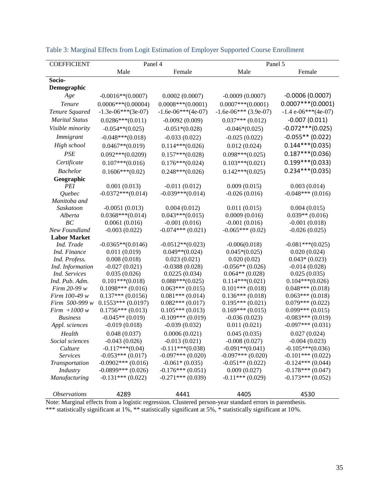| <b>COEFFICIENT</b>    | Panel 4              |                      | Panel 5                 |                      |  |
|-----------------------|----------------------|----------------------|-------------------------|----------------------|--|
|                       | Male                 | Female               | Male                    | Female               |  |
| Socio-                |                      |                      |                         |                      |  |
| Demographic           |                      |                      |                         |                      |  |
| Age                   | $-0.0016**$ (0.0007) | 0.0002(0.0007)       | $-0.0009(0.0007)$       | $-0.0006(0.0007)$    |  |
| <b>Tenure</b>         | $0.0006***(0.00004)$ | $0.0008***(0.0001)$  | $0.0007***(0.0001)$     | $0.0007***$ (0.0001) |  |
| Tenure Squared        | $-1.3e-06***(3e-07)$ | $-1.6e-06***(4e-07)$ | $-1.6e-06***$ (3.9e-07) | $-1.4e-06***(4e-07)$ |  |
| <b>Marital Status</b> | $0.0286***(0.011)$   | $-0.0092(0.009)$     | $0.037***(0.012)$       | $-0.007(0.011)$      |  |
| Visible minority      | $-0.054**$ (0.025)   | $-0.051*(0.028)$     | $-0.046*(0.025)$        | $-0.072***$ (0.025)  |  |
| Immigrant             | $-0.048***(0.018)$   | $-0.033(0.022)$      | $-0.025(0.022)$         | $-0.055**$ (0.022)   |  |
| High school           | $0.0467**$ (0.019)   | $0.114***(0.026)$    | 0.012(0.024)            | $0.144***(0.035)$    |  |
| <b>PSE</b>            | $0.092***(0.0209)$   | $0.157***(0.028)$    | $0.098***(0.025)$       | $0.187***$ (0.036)   |  |
| Certificate           | $0.107***(0.016)$    | $0.176***(0.024)$    | $0.103***(0.021)$       | $0.199***$ (0.033)   |  |
| <b>Bachelor</b>       | $0.1606***(0.02)$    | $0.248***(0.026)$    | $0.142***(0.025)$       | $0.234***(0.035)$    |  |
| Geographic            |                      |                      |                         |                      |  |
| PEI                   | 0.001(0.013)         | $-0.011(0.012)$      | 0.009(0.015)            | 0.003(0.014)         |  |
| <i><u>Ouebec</u></i>  | $-0.0372***(0.014)$  | $-0.039***(0.014)$   | $-0.026(0.016)$         | $-0.048***$ (0.016)  |  |
| Manitoba and          |                      |                      |                         |                      |  |
| Saskatoon             | $-0.0051(0.013)$     | 0.004(0.012)         | 0.011(0.015)            | 0.004(0.015)         |  |
| Alberta               | $0.0368***(0.014)$   | $0.043***(0.015)$    | 0.0009(0.016)           | $0.039**$ (0.016)    |  |
| BC                    | 0.0061(0.016)        | $-0.001(0.016)$      | $-0.001(0.016)$         | $-0.001(0.018)$      |  |
| New Foundland         | $-0.003(0.022)$      | $-0.074***(0.021)$   | $-0.065***(0.02)$       | $-0.026(0.025)$      |  |
| <b>Labor Market</b>   |                      |                      |                         |                      |  |
| Ind. Trade            | $-0.0365**$ (0.0146) | $-0.0512**$ (0.023)  | $-0.006(0.018)$         | $-0.081***(0.025)$   |  |
| Ind. Finance          | 0.011(0.019)         | $0.049**$ (0.024)    | $0.045*(0.025)$         | 0.020(0.024)         |  |
| Ind. Profess.         | 0.008(0.018)         | 0.023(0.021)         | 0.020(0.02)             | $0.043*(0.023)$      |  |
| Ind. Information      | $-0.027(0.021)$      | $-0.0388(0.028)$     | $-0.056**$ (0.026)      | $-0.014(0.028)$      |  |
| Ind. Services         | 0.035(0.026)         | 0.0225(0.034)        | $0.064**$ (0.028)       | 0.025(0.035)         |  |
| Ind. Pub. Adm.        | $0.101***(0.018)$    | $0.088***(0.025)$    | $0.114***(0.021)$       | $0.104***(0.026)$    |  |
| Firm $20-99 w$        | $0.1098***$ (0.016)  | $0.063***(0.015)$    | $0.101***(0.018)$       | $0.048***(0.018)$    |  |
| Firm 100-49 w         | $0.137***(0.0156)$   | $0.081***(0.014)$    | $0.136***(0.018)$       | $0.063***(0.018)$    |  |
| Firm 500-999 w        | $0.1553***(0.0197)$  | $0.082***(0.017)$    | $0.195***(0.021)$       | $0.079***$ $(0.022)$ |  |
| $Firm +1000 w$        | $0.1756***(0.013)$   | $0.105***(0.013)$    | $0.169***(0.015)$       | $0.099***(0.015)$    |  |
| <b>Business</b>       | $-0.045**$ (0.019)   | $-0.109***$ (0.019)  | $-0.036(0.023)$         | $-0.083***(0.019)$   |  |
| Appl. sciences        | $-0.019(0.018)$      | $-0.039(0.032)$      | 0.011(0.021)            | $-0.097***$ (0.031)  |  |
| Health                | 0.048(0.037)         | 0.0006(0.021)        | 0.045(0.035)            | 0.027(0.024)         |  |
| Social sciences       | $-0.043(0.026)$      | $-0.013(0.021)$      | $-0.008(0.027)$         | $-0.004(0.023)$      |  |
| Culture               | $-0.117***(0.04)$    | $-0.111***$ (0.038)  | $-0.091**$ (0.041)      | $-0.105***(0.036)$   |  |
| <b>Services</b>       | $-0.053***(0.017)$   | $-0.097***(0.020)$   | $-0.097***(0.020)$      | $-0.101***$ (0.022)  |  |
| Transportation        | $-0.0902***(0.016)$  | $-0.061*(0.035)$     | $-0.051**$ (0.022)      | $-0.124***$ (0.044)  |  |
| Industry              | $-0.0899***$ (0.026) | $-0.176***(0.051)$   | 0.009(0.027)            | $-0.178***$ (0.047)  |  |
| Manufacturing         | $-0.131***(0.022)$   | $-0.271***$ (0.039)  | $-0.11***(0.029)$       | $-0.173***$ (0.052)  |  |
| <b>Observations</b>   | 4289                 | 4441                 | 4405                    | 4530                 |  |

|  |  | Table 3: Marginal Effects from Logit Estimation of Employer Supported Course Enrollment |
|--|--|-----------------------------------------------------------------------------------------|
|  |  |                                                                                         |

Note: Marginal effects from a logistic regression. Clustered person-year standard errors in parenthesis. \*\*\* statistically significant at 1%, \*\* statistically significant at 5%, \* statistically significant at 10%.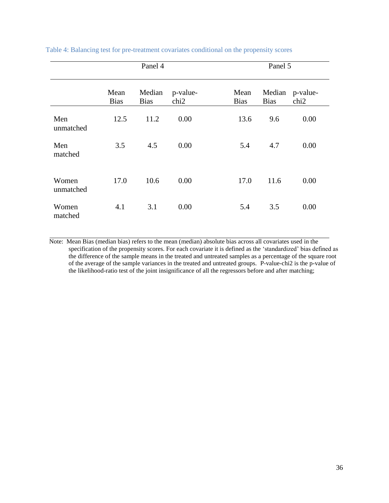|                    | Panel 4             |                       |                              |                     | Panel 5               |                              |  |
|--------------------|---------------------|-----------------------|------------------------------|---------------------|-----------------------|------------------------------|--|
|                    | Mean<br><b>Bias</b> | Median<br><b>Bias</b> | p-value-<br>chi <sub>2</sub> | Mean<br><b>Bias</b> | Median<br><b>Bias</b> | p-value-<br>chi <sub>2</sub> |  |
| Men<br>unmatched   | 12.5                | 11.2                  | 0.00                         | 13.6                | 9.6                   | 0.00                         |  |
| Men<br>matched     | 3.5                 | 4.5                   | 0.00                         | 5.4                 | 4.7                   | 0.00                         |  |
| Women<br>unmatched | 17.0                | 10.6                  | 0.00                         | 17.0                | 11.6                  | 0.00                         |  |
| Women<br>matched   | 4.1                 | 3.1                   | 0.00                         | 5.4                 | 3.5                   | 0.00                         |  |

Table 4: Balancing test for pre-treatment covariates conditional on the propensity scores

 Note: Mean Bias (median bias) refers to the mean (median) absolute bias across all covariates used in the specification of the propensity scores. For each covariate it is defined as the 'standardized' bias defined as the difference of the sample means in the treated and untreated samples as a percentage of the square root of the average of the sample variances in the treated and untreated groups. P-value-chi2 is the p-value of the likelihood-ratio test of the joint insignificance of all the regressors before and after matching;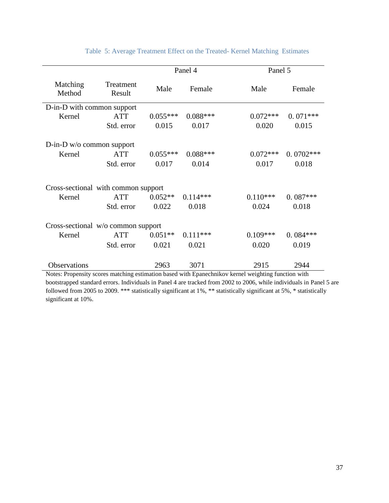|                                     |                     | Panel 4    |            | Panel 5    |             |  |
|-------------------------------------|---------------------|------------|------------|------------|-------------|--|
| Matching<br>Method                  | Treatment<br>Result | Male       | Female     | Male       | Female      |  |
| D-in-D with common support          |                     |            |            |            |             |  |
| Kernel                              | <b>ATT</b>          | $0.055***$ | $0.088***$ | $0.072***$ | $0.071***$  |  |
|                                     | Std. error          | 0.015      | 0.017      | 0.020      | 0.015       |  |
| $D-in-D$ w/o common support         |                     |            |            |            |             |  |
| Kernel                              | <b>ATT</b>          | $0.055***$ | $0.088***$ | $0.072***$ | $0.0702***$ |  |
|                                     | Std. error          | 0.017      | 0.014      | 0.017      | 0.018       |  |
| Cross-sectional with common support |                     |            |            |            |             |  |
| Kernel                              | <b>ATT</b>          | $0.052**$  | $0.114***$ | $0.110***$ | $0.087***$  |  |
|                                     | Std. error          | 0.022      | 0.018      | 0.024      | 0.018       |  |
| Cross-sectional w/o common support  |                     |            |            |            |             |  |
| Kernel                              | <b>ATT</b>          | $0.051**$  | $0.111***$ | $0.109***$ | $0.084***$  |  |
|                                     | Std. error          | 0.021      | 0.021      | 0.020      | 0.019       |  |
| <b>Observations</b>                 |                     | 2963       | 3071       | 2915       | 2944        |  |

Table 5: Average Treatment Effect on the Treated- Kernel Matching Estimates

Notes: Propensity scores matching estimation based with Epanechnikov kernel weighting function with bootstrapped standard errors. Individuals in Panel 4 are tracked from 2002 to 2006, while individuals in Panel 5 are followed from 2005 to 2009. \*\*\* statistically significant at 1%, \*\* statistically significant at 5%, \* statistically significant at 10%.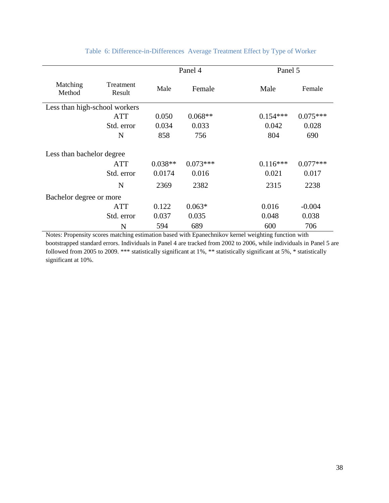|                           |                               | Panel 4   |            | Panel 5    |            |  |  |  |
|---------------------------|-------------------------------|-----------|------------|------------|------------|--|--|--|
| Matching<br>Method        | Treatment<br>Result           | Male      | Female     | Male       | Female     |  |  |  |
|                           | Less than high-school workers |           |            |            |            |  |  |  |
|                           | ATT                           | 0.050     | $0.068**$  | $0.154***$ | $0.075***$ |  |  |  |
|                           | Std. error                    | 0.034     | 0.033      | 0.042      | 0.028      |  |  |  |
|                           | N                             | 858       | 756        | 804        | 690        |  |  |  |
| Less than bachelor degree |                               |           |            |            |            |  |  |  |
|                           | <b>ATT</b>                    | $0.038**$ | $0.073***$ | $0.116***$ | $0.077***$ |  |  |  |
|                           | Std. error                    | 0.0174    | 0.016      | 0.021      | 0.017      |  |  |  |
|                           | N                             | 2369      | 2382       | 2315       | 2238       |  |  |  |
| Bachelor degree or more   |                               |           |            |            |            |  |  |  |
|                           | ATT                           | 0.122     | $0.063*$   | 0.016      | $-0.004$   |  |  |  |
|                           | Std. error                    | 0.037     | 0.035      | 0.048      | 0.038      |  |  |  |
|                           | N                             | 594       | 689        | 600        | 706        |  |  |  |

## Table 6: Difference-in-Differences Average Treatment Effect by Type of Worker

Notes: Propensity scores matching estimation based with Epanechnikov kernel weighting function with bootstrapped standard errors. Individuals in Panel 4 are tracked from 2002 to 2006, while individuals in Panel 5 are followed from 2005 to 2009. \*\*\* statistically significant at 1%, \*\* statistically significant at 5%, \* statistically significant at 10%.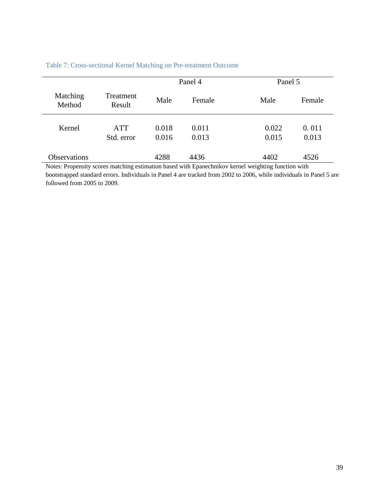|                    |                     | Panel 4 |        | Panel 5 |        |  |
|--------------------|---------------------|---------|--------|---------|--------|--|
| Matching<br>Method | Treatment<br>Result | Male    | Female | Male    | Female |  |
| Kernel             | <b>ATT</b>          | 0.018   | 0.011  | 0.022   | 0.011  |  |
|                    | Std. error          | 0.016   | 0.013  | 0.015   | 0.013  |  |
| Observations       |                     | 4288    | 4436   | 4402    | 4526   |  |

## Table 7: Cross-sectional Kernel Matching on Pre-treatment Outcome

Notes: Propensity scores matching estimation based with Epanechnikov kernel weighting function with bootstrapped standard errors. Individuals in Panel 4 are tracked from 2002 to 2006, while individuals in Panel 5 are followed from 2005 to 2009.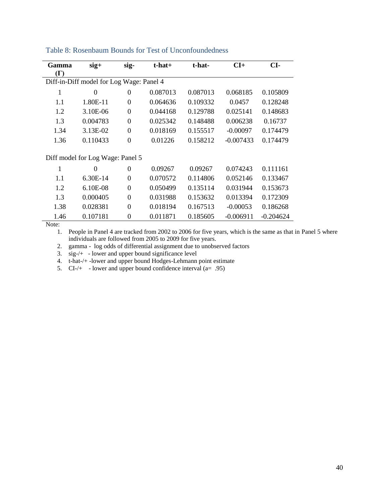| Gamma      | $sig+$                                   | sig-           | $t$ -hat $+$ | t-hat-   | $CI+$       | CI-         |
|------------|------------------------------------------|----------------|--------------|----------|-------------|-------------|
| $(\Gamma)$ |                                          |                |              |          |             |             |
|            | Diff-in-Diff model for Log Wage: Panel 4 |                |              |          |             |             |
| 1          | $\theta$                                 | $\overline{0}$ | 0.087013     | 0.087013 | 0.068185    | 0.105809    |
| 1.1        | 1.80E-11                                 | $\theta$       | 0.064636     | 0.109332 | 0.0457      | 0.128248    |
| 1.2        | 3.10E-06                                 | $\overline{0}$ | 0.044168     | 0.129788 | 0.025141    | 0.148683    |
| 1.3        | 0.004783                                 | $\overline{0}$ | 0.025342     | 0.148488 | 0.006238    | 0.16737     |
| 1.34       | 3.13E-02                                 | $\theta$       | 0.018169     | 0.155517 | $-0.00097$  | 0.174479    |
| 1.36       | 0.110433                                 | $\overline{0}$ | 0.01226      | 0.158212 | $-0.007433$ | 0.174479    |
|            | Diff model for Log Wage: Panel 5         |                |              |          |             |             |
| 1          | $\theta$                                 | $\overline{0}$ | 0.09267      | 0.09267  | 0.074243    | 0.111161    |
|            |                                          |                |              |          |             |             |
| 1.1        | 6.30E-14                                 | $\theta$       | 0.070572     | 0.114806 | 0.052146    | 0.133467    |
| 1.2        | $6.10E-08$                               | $\overline{0}$ | 0.050499     | 0.135114 | 0.031944    | 0.153673    |
| 1.3        | 0.000405                                 | $\overline{0}$ | 0.031988     | 0.153632 | 0.013394    | 0.172309    |
| 1.38       | 0.028381                                 | $\theta$       | 0.018194     | 0.167513 | $-0.00053$  | 0.186268    |
| 1.46       | 0.107181                                 | $\theta$       | 0.011871     | 0.185605 | $-0.006911$ | $-0.204624$ |

#### Table 8: Rosenbaum Bounds for Test of Unconfoundedness

Note:

1. People in Panel 4 are tracked from 2002 to 2006 for five years, which is the same as that in Panel 5 where individuals are followed from 2005 to 2009 for five years.

2. gamma - log odds of differential assignment due to unobserved factors

3. sig-/+ - lower and upper bound significance level

4. t-hat-/+ -lower and upper bound Hodges-Lehmann point estimate

5.  $CI-/-$  - lower and upper bound confidence interval (a= .95)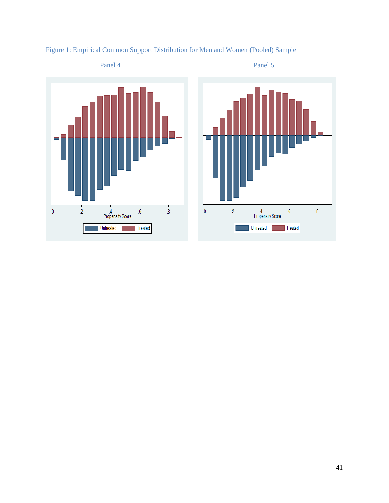



# Figure 1: Empirical Common Support Distribution for Men and Women (Pooled) Sample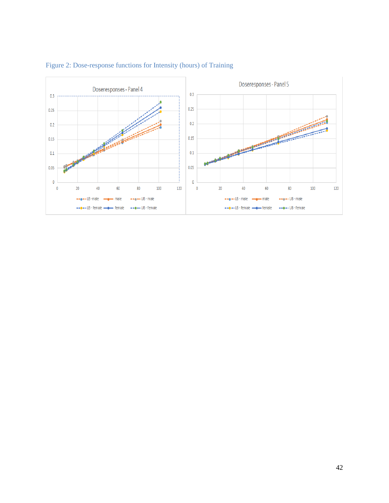

## Figure 2: Dose-response functions for Intensity (hours) of Training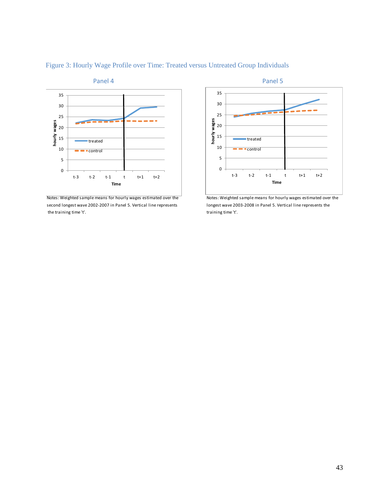

Figure 3: Hourly Wage Profile over Time: Treated versus Untreated Group Individuals

second longest wave 2002-2007 in Panel 5. Vertical line represents longest wave 2003-2008 in Panel 5. Vertical line represents the the training time 't'. The training time 't'.



Notes: Weighted sample means for hourly wages estimated over the Notes: Weighted sample means for hourly wages estimated over the